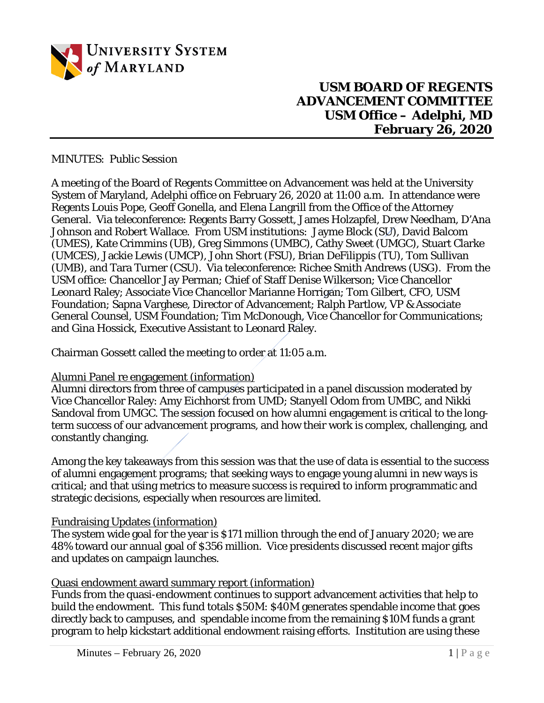

**USM BOARD OF REGENTS ADVANCEMENT COMMITTEE USM Office – Adelphi, MD February 26, 2020**

MINUTES: Public Session

A meeting of the Board of Regents Committee on Advancement was held at the University System of Maryland, Adelphi office on February 26, 2020 at 11:00 a.m. In attendance were Regents Louis Pope, Geoff Gonella, and Elena Langrill from the Office of the Attorney General. Via teleconference: Regents Barry Gossett, James Holzapfel, Drew Needham, D'Ana Johnson and Robert Wallace. From USM institutions: Jayme Block (SU), David Balcom (UMES), Kate Crimmins (UB), Greg Simmons (UMBC), Cathy Sweet (UMGC), Stuart Clarke (UMCES), Jackie Lewis (UMCP), John Short (FSU), Brian DeFilippis (TU), Tom Sullivan (UMB), and Tara Turner (CSU). Via teleconference: Richee Smith Andrews (USG). From the USM office: Chancellor Jay Perman; Chief of Staff Denise Wilkerson; Vice Chancellor Leonard Raley; Associate Vice Chancellor Marianne Horrigan; Tom Gilbert, CFO, USM Foundation; Sapna Varghese, Director of Advancement; Ralph Partlow, VP & Associate General Counsel, USM Foundation; Tim McDonough, Vice Chancellor for Communications; and Gina Hossick, Executive Assistant to Leonard Raley.

Chairman Gossett called the meeting to order at 11:05 a.m.

## Alumni Panel re engagement (information)

Alumni directors from three of campuses participated in a panel discussion moderated by Vice Chancellor Raley: Amy Eichhorst from UMD; Stanyell Odom from UMBC, and Nikki Sandoval from UMGC. The session focused on how alumni engagement is critical to the longterm success of our advancement programs, and how their work is complex, challenging, and constantly changing.

Among the key takeaways from this session was that the use of data is essential to the success of alumni engagement programs; that seeking ways to engage young alumni in new ways is critical; and that using metrics to measure success is required to inform programmatic and strategic decisions, especially when resources are limited.

## Fundraising Updates (information)

The system wide goal for the year is \$171 million through the end of January 2020; we are 48% toward our annual goal of \$356 million. Vice presidents discussed recent major gifts and updates on campaign launches.

## Quasi endowment award summary report (information)

Funds from the quasi-endowment continues to support advancement activities that help to build the endowment. This fund totals \$50M: \$40M generates spendable income that goes directly back to campuses, and spendable income from the remaining \$10M funds a grant program to help kickstart additional endowment raising efforts. Institution are using these